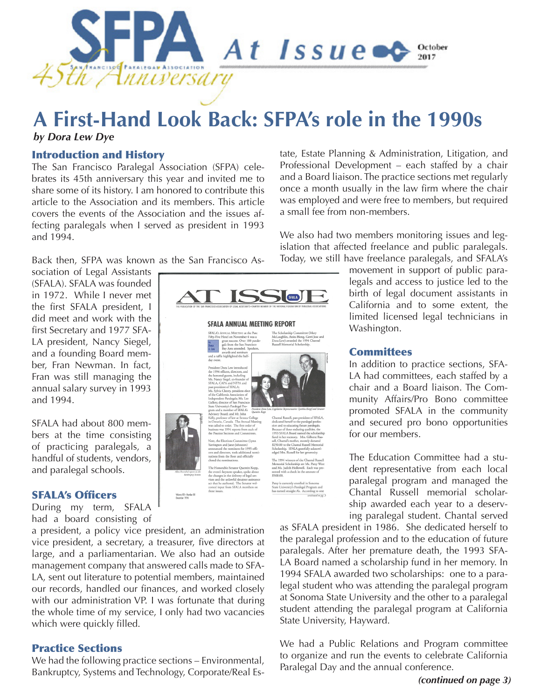

# **A First-Hand Look Back: SFPA's role in the 1990s**

### *by Dora Lew Dye*

### Introduction and History

The San Francisco Paralegal Association (SFPA) celebrates its 45th anniversary this year and invited me to share some of its history. I am honored to contribute this article to the Association and its members. This article covers the events of the Association and the issues affecting paralegals when I served as president in 1993 and 1994.

Back then, SFPA was known as the San Francisco As-

sociation of Legal Assistants (SFALA). SFALA was founded in 1972. While I never met the first SFALA president, I did meet and work with the first Secretary and 1977 SFA-LA president, Nancy Siegel, and a founding Board member, Fran Newman. In fact, Fran was still managing the annual salary survey in 1993 and 1994.

SFALA had about 800 members at the time consisting of practicing paralegals, a handful of students, vendors, and paralegal schools.

### SFALA's Officers

During my term, SFALA had a board consisting of

a president, a policy vice president, an administration vice president, a secretary, a treasurer, five directors at large, and a parliamentarian. We also had an outside management company that answered calls made to SFA-LA, sent out literature to potential members, maintained our records, handled our finances, and worked closely with our administration VP. I was fortunate that during the whole time of my service, I only had two vacancies which were quickly filled.

### Practice Sections

We had the following practice sections – Environmental, Bankruptcy, Systems and Technology, Corporate/Real Es-

SFALA) **SFALA ANNUAL MEETING REPORT** SFALA's ANNUAL MEETING at the Par<br>Fifty-Five Hotel on November 4 was a McLaughlin, Anita Hong, Gerri J<br>Dora Lew) awarded the 1994 Cha<br>Russell Memorial Scholarshin great success. Over<br>gals from the San F<br>Bay Area attended.<br>awards and seminar<br>fle highlighted the ha ers of the Chantal F Volume 201 - Number 33<br>December 1994

tate, Estate Planning & Administration, Litigation, and Professional Development – each staffed by a chair and a Board liaison. The practice sections met regularly once a month usually in the law firm where the chair was employed and were free to members, but required a small fee from non-members.

We also had two members monitoring issues and legislation that affected freelance and public paralegals. Today, we still have freelance paralegals, and SFALA's

> movement in support of public paralegals and access to justice led to the birth of legal document assistants in California and to some extent, the limited licensed legal technicians in Washington.

### **Committees**

In addition to practice sections, SFA-LA had committees, each staffed by a chair and a Board liaison. The Community Affairs/Pro Bono committee promoted SFALA in the community and secured pro bono opportunities for our members.

The Education Committee had a student representative from each local paralegal program and managed the Chantal Russell memorial scholarship awarded each year to a deserving paralegal student. Chantal served

as SFALA president in 1986. She dedicated herself to the paralegal profession and to the education of future paralegals. After her premature death, the 1993 SFA-LA Board named a scholarship fund in her memory. In 1994 SFALA awarded two scholarships: one to a paralegal student who was attending the paralegal program at Sonoma State University and the other to a paralegal student attending the paralegal program at California State University, Hayward.

We had a Public Relations and Program committee to organize and run the events to celebrate California Paralegal Day and the annual conference.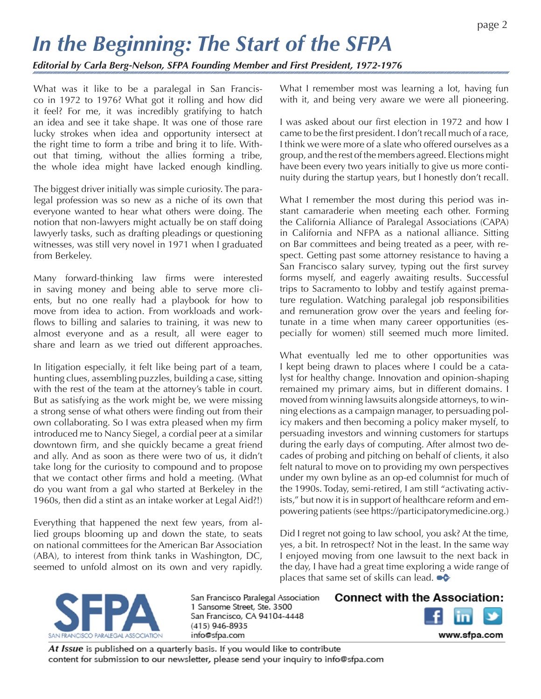# *In the Beginning: The Start of the SFPA*

*Editorial by Carla Berg-Nelson, SFPA Founding Member and First President, 1972-1976*

What was it like to be a paralegal in San Francisco in 1972 to 1976? What got it rolling and how did it feel? For me, it was incredibly gratifying to hatch an idea and see it take shape. It was one of those rare lucky strokes when idea and opportunity intersect at the right time to form a tribe and bring it to life. Without that timing, without the allies forming a tribe, the whole idea might have lacked enough kindling.

The biggest driver initially was simple curiosity. The paralegal profession was so new as a niche of its own that everyone wanted to hear what others were doing. The notion that non-lawyers might actually be on staff doing lawyerly tasks, such as drafting pleadings or questioning witnesses, was still very novel in 1971 when I graduated from Berkeley.

Many forward-thinking law firms were interested in saving money and being able to serve more clients, but no one really had a playbook for how to move from idea to action. From workloads and workflows to billing and salaries to training, it was new to almost everyone and as a result, all were eager to share and learn as we tried out different approaches.

In litigation especially, it felt like being part of a team, hunting clues, assembling puzzles, building a case, sitting with the rest of the team at the attorney's table in court. But as satisfying as the work might be, we were missing a strong sense of what others were finding out from their own collaborating. So I was extra pleased when my firm introduced me to Nancy Siegel, a cordial peer at a similar downtown firm, and she quickly became a great friend and ally. And as soon as there were two of us, it didn't take long for the curiosity to compound and to propose that we contact other firms and hold a meeting. (What do you want from a gal who started at Berkeley in the 1960s, then did a stint as an intake worker at Legal Aid?!)

Everything that happened the next few years, from allied groups blooming up and down the state, to seats on national committees for the American Bar Association (ABA), to interest from think tanks in Washington, DC, seemed to unfold almost on its own and very rapidly. What I remember most was learning a lot, having fun with it, and being very aware we were all pioneering.

I was asked about our first election in 1972 and how I came to be the first president. I don't recall much of a race, I think we were more of a slate who offered ourselves as a group, and the rest of the members agreed. Elections might have been every two years initially to give us more continuity during the startup years, but I honestly don't recall.

What I remember the most during this period was instant camaraderie when meeting each other. Forming the California Alliance of Paralegal Associations (CAPA) in California and NFPA as a national alliance. Sitting on Bar committees and being treated as a peer, with respect. Getting past some attorney resistance to having a San Francisco salary survey, typing out the first survey forms myself, and eagerly awaiting results. Successful trips to Sacramento to lobby and testify against premature regulation. Watching paralegal job responsibilities and remuneration grow over the years and feeling fortunate in a time when many career opportunities (especially for women) still seemed much more limited.

What eventually led me to other opportunities was I kept being drawn to places where I could be a catalyst for healthy change. Innovation and opinion-shaping remained my primary aims, but in different domains. I moved from winning lawsuits alongside attorneys, to winning elections as a campaign manager, to persuading policy makers and then becoming a policy maker myself, to persuading investors and winning customers for startups during the early days of computing. After almost two decades of probing and pitching on behalf of clients, it also felt natural to move on to providing my own perspectives under my own byline as an op-ed columnist for much of the 1990s. Today, semi-retired, I am still "activating activists," but now it is in support of healthcare reform and empowering patients (see https://participatorymedicine.org.)

Did I regret not going to law school, you ask? At the time, yes, a bit. In retrospect? Not in the least. In the same way I enjoyed moving from one lawsuit to the next back in the day, I have had a great time exploring a wide range of places that same set of skills can lead.  $\bullet\bullet$ 



San Francisco Paralegal Association 1 Sansome Street, Ste. 3500 San Francisco, CA 94104-4448 (415) 946-8935 info@sfpa.com

**Connect with the Association:** 



www.sfpa.com

At Issue is published on a quarterly basis. If you would like to contribute content for submission to our newsletter, please send your inquiry to info@sfpa.com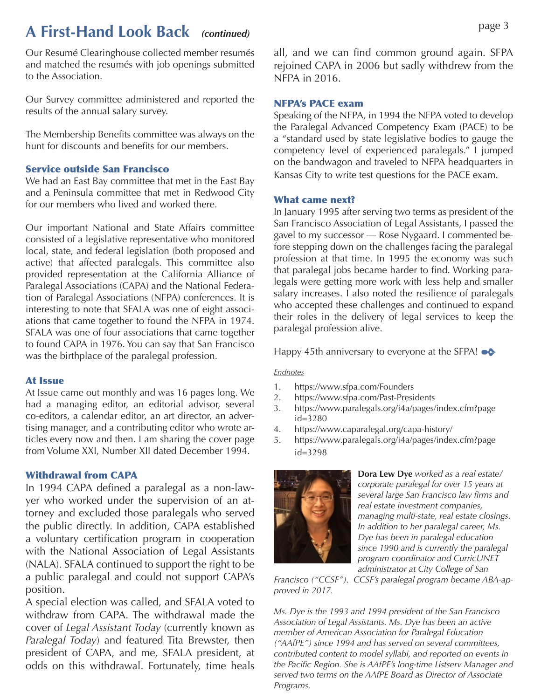## **A First-Hand Look Back** *(continued)* page 3

Our Resumé Clearinghouse collected member resumés and matched the resumés with job openings submitted to the Association.

Our Survey committee administered and reported the results of the annual salary survey.

The Membership Benefits committee was always on the hunt for discounts and benefits for our members.

### Service outside San Francisco

We had an East Bay committee that met in the East Bay and a Peninsula committee that met in Redwood City for our members who lived and worked there.

Our important National and State Affairs committee consisted of a legislative representative who monitored local, state, and federal legislation (both proposed and active) that affected paralegals. This committee also provided representation at the California Alliance of Paralegal Associations (CAPA) and the National Federation of Paralegal Associations (NFPA) conferences. It is interesting to note that SFALA was one of eight associations that came together to found the NFPA in 1974. SFALA was one of four associations that came together to found CAPA in 1976. You can say that San Francisco was the birthplace of the paralegal profession.

### At Issue

At Issue came out monthly and was 16 pages long. We had a managing editor, an editorial advisor, several co-editors, a calendar editor, an art director, an advertising manager, and a contributing editor who wrote articles every now and then. I am sharing the cover page from Volume XXI, Number XII dated December 1994.

### Withdrawal from CAPA

In 1994 CAPA defined a paralegal as a non-lawyer who worked under the supervision of an attorney and excluded those paralegals who served the public directly. In addition, CAPA established a voluntary certification program in cooperation with the National Association of Legal Assistants (NALA). SFALA continued to support the right to be a public paralegal and could not support CAPA's position.

A special election was called, and SFALA voted to withdraw from CAPA. The withdrawal made the cover of *Legal Assistant Today* (currently known as *Paralegal Today*) and featured Tita Brewster, then president of CAPA, and me, SFALA president, at odds on this withdrawal. Fortunately, time heals all, and we can find common ground again. SFPA rejoined CAPA in 2006 but sadly withdrew from the NFPA in 2016.

### NFPA's PACE exam

Speaking of the NFPA, in 1994 the NFPA voted to develop the Paralegal Advanced Competency Exam (PACE) to be a "standard used by state legislative bodies to gauge the competency level of experienced paralegals." I jumped on the bandwagon and traveled to NFPA headquarters in Kansas City to write test questions for the PACE exam.

### What came next?

In January 1995 after serving two terms as president of the San Francisco Association of Legal Assistants, I passed the gavel to my successor — Rose Nygaard. I commented before stepping down on the challenges facing the paralegal profession at that time. In 1995 the economy was such that paralegal jobs became harder to find. Working paralegals were getting more work with less help and smaller salary increases. I also noted the resilience of paralegals who accepted these challenges and continued to expand their roles in the delivery of legal services to keep the paralegal profession alive.

Happy 45th anniversary to everyone at the SFPA!  $\bullet \bullet$ 

#### *Endnotes*

- 1. https://www.sfpa.com/Founders
- 2. https://www.sfpa.com/Past-Presidents
- 3. https://www.paralegals.org/i4a/pages/index.cfm?page id=3280
- 4. https://www.caparalegal.org/capa-history/
- 5. https://www.paralegals.org/i4a/pages/index.cfm?page id=3298



**Dora Lew Dye** *worked as a real estate/ corporate paralegal for over 15 years at several large San Francisco law firms and real estate investment companies, managing multi-state, real estate closings. In addition to her paralegal career, Ms. Dye has been in paralegal education since 1990 and is currently the paralegal program coordinator and CurricUNET administrator at City College of San* 

*Francisco ("CCSF"). CCSF's paralegal program became ABA-approved in 2017.* 

*Ms. Dye is the 1993 and 1994 president of the San Francisco Association of Legal Assistants. Ms. Dye has been an active member of American Association for Paralegal Education ("AAfPE") since 1994 and has served on several committees, contributed content to model syllabi, and reported on events in the Pacific Region. She is AAfPE's long-time Listserv Manager and served two terms on the AAfPE Board as Director of Associate Programs.*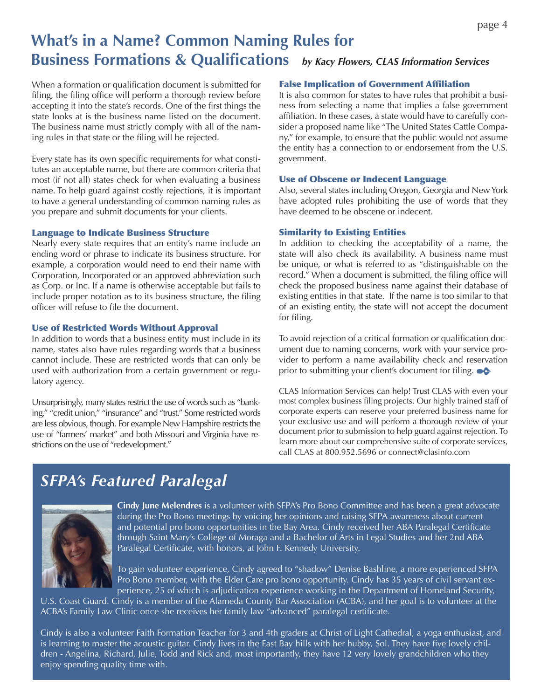## **What's in a Name? Common Naming Rules for Business Formations & Qualifications** *by Kacy Flowers, CLAS Information Services*

When a formation or qualification document is submitted for filing, the filing office will perform a thorough review before accepting it into the state's records. One of the first things the state looks at is the business name listed on the document. The business name must strictly comply with all of the naming rules in that state or the filing will be rejected.

Every state has its own specific requirements for what constitutes an acceptable name, but there are common criteria that most (if not all) states check for when evaluating a business name. To help guard against costly rejections, it is important to have a general understanding of common naming rules as you prepare and submit documents for your clients.

### Language to Indicate Business Structure

Nearly every state requires that an entity's name include an ending word or phrase to indicate its business structure. For example, a corporation would need to end their name with Corporation, Incorporated or an approved abbreviation such as Corp. or Inc. If a name is otherwise acceptable but fails to include proper notation as to its business structure, the filing officer will refuse to file the document.

### Use of Restricted Words Without Approval

In addition to words that a business entity must include in its name, states also have rules regarding words that a business cannot include. These are restricted words that can only be used with authorization from a certain government or regulatory agency.

Unsurprisingly, many states restrict the use of words such as "banking," "credit union," "insurance" and "trust." Some restricted words are less obvious, though. For example New Hampshire restricts the use of "farmers' market" and both Missouri and Virginia have restrictions on the use of "redevelopment."

### False Implication of Government Affiliation

It is also common for states to have rules that prohibit a business from selecting a name that implies a false government affiliation. In these cases, a state would have to carefully consider a proposed name like "The United States Cattle Company," for example, to ensure that the public would not assume the entity has a connection to or endorsement from the U.S. government.

### Use of Obscene or Indecent Language

Also, several states including Oregon, Georgia and New York have adopted rules prohibiting the use of words that they have deemed to be obscene or indecent.

### Similarity to Existing Entities

In addition to checking the acceptability of a name, the state will also check its availability. A business name must be unique, or what is referred to as "distinguishable on the record." When a document is submitted, the filing office will check the proposed business name against their database of existing entities in that state. If the name is too similar to that of an existing entity, the state will not accept the document for filing.

To avoid rejection of a critical formation or qualification document due to naming concerns, work with your service provider to perform a name availability check and reservation prior to submitting your client's document for filing.  $\bullet \bullet$ 

CLAS Information Services can help! Trust CLAS with even your most complex business filing projects. Our highly trained staff of corporate experts can reserve your preferred business name for your exclusive use and will perform a thorough review of your document prior to submission to help guard against rejection. To learn more about our comprehensive suite of corporate services, call CLAS at 800.952.5696 or connect@clasinfo.com

## *SFPA's Featured Paralegal*



**Cindy June Melendres** is a volunteer with SFPA's Pro Bono Committee and has been a great advocate during the Pro Bono meetings by voicing her opinions and raising SFPA awareness about current and potential pro bono opportunities in the Bay Area. Cindy received her ABA Paralegal Certificate through Saint Mary's College of Moraga and a Bachelor of Arts in Legal Studies and her 2nd ABA Paralegal Certificate, with honors, at John F. Kennedy University.

To gain volunteer experience, Cindy agreed to "shadow" Denise Bashline, a more experienced SFPA Pro Bono member, with the Elder Care pro bono opportunity. Cindy has 35 years of civil servant experience, 25 of which is adjudication experience working in the Department of Homeland Security,

U.S. Coast Guard. Cindy is a member of the Alameda County Bar Association (ACBA), and her goal is to volunteer at the ACBA's Family Law Clinic once she receives her family law "advanced" paralegal certificate.

Cindy is also a volunteer Faith Formation Teacher for 3 and 4th graders at Christ of Light Cathedral, a yoga enthusiast, and is learning to master the acoustic guitar. Cindy lives in the East Bay hills with her hubby, Sol. They have five lovely children - Angelina, Richard, Julie, Todd and Rick and, most importantly, they have 12 very lovely grandchildren who they enjoy spending quality time with.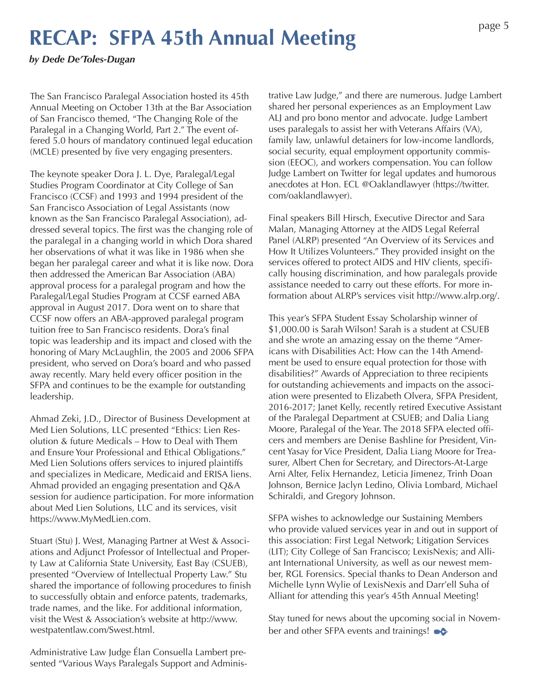# **RECAP: SFPA 45th Annual Meeting**

*by Dede De'Toles-Dugan*

The San Francisco Paralegal Association hosted its 45th Annual Meeting on October 13th at the Bar Association of San Francisco themed, "The Changing Role of the Paralegal in a Changing World, Part 2." The event offered 5.0 hours of mandatory continued legal education (MCLE) presented by five very engaging presenters.

The keynote speaker Dora J. L. Dye, Paralegal/Legal Studies Program Coordinator at City College of San Francisco (CCSF) and 1993 and 1994 president of the San Francisco Association of Legal Assistants (now known as the San Francisco Paralegal Association), addressed several topics. The first was the changing role of the paralegal in a changing world in which Dora shared her observations of what it was like in 1986 when she began her paralegal career and what it is like now. Dora then addressed the American Bar Association (ABA) approval process for a paralegal program and how the Paralegal/Legal Studies Program at CCSF earned ABA approval in August 2017. Dora went on to share that CCSF now offers an ABA-approved paralegal program tuition free to San Francisco residents. Dora's final topic was leadership and its impact and closed with the honoring of Mary McLaughlin, the 2005 and 2006 SFPA president, who served on Dora's board and who passed away recently. Mary held every officer position in the SFPA and continues to be the example for outstanding leadership.

Ahmad Zeki, J.D., Director of Business Development at Med Lien Solutions, LLC presented "Ethics: Lien Resolution & future Medicals – How to Deal with Them and Ensure Your Professional and Ethical Obligations." Med Lien Solutions offers services to injured plaintiffs and specializes in Medicare, Medicaid and ERISA liens. Ahmad provided an engaging presentation and Q&A session for audience participation. For more information about Med Lien Solutions, LLC and its services, visit https://www.MyMedLien.com.

Stuart (Stu) J. West, Managing Partner at West & Associations and Adjunct Professor of Intellectual and Property Law at California State University, East Bay (CSUEB), presented "Overview of Intellectual Property Law." Stu shared the importance of following procedures to finish to successfully obtain and enforce patents, trademarks, trade names, and the like. For additional information, visit the West & Association's website at http://www. westpatentlaw.com/Swest.html.

Administrative Law Judge Élan Consuella Lambert presented "Various Ways Paralegals Support and Administrative Law Judge," and there are numerous. Judge Lambert shared her personal experiences as an Employment Law ALJ and pro bono mentor and advocate. Judge Lambert uses paralegals to assist her with Veterans Affairs (VA), family law, unlawful detainers for low-income landlords, social security, equal employment opportunity commission (EEOC), and workers compensation. You can follow Judge Lambert on Twitter for legal updates and humorous anecdotes at Hon. ECL @Oaklandlawyer (https://twitter. com/oaklandlawyer).

Final speakers Bill Hirsch, Executive Director and Sara Malan, Managing Attorney at the AIDS Legal Referral Panel (ALRP) presented "An Overview of its Services and How It Utilizes Volunteers." They provided insight on the services offered to protect AIDS and HIV clients, specifically housing discrimination, and how paralegals provide assistance needed to carry out these efforts. For more information about ALRP's services visit http://www.alrp.org/.

This year's SFPA Student Essay Scholarship winner of \$1,000.00 is Sarah Wilson! Sarah is a student at CSUEB and she wrote an amazing essay on the theme "Americans with Disabilities Act: How can the 14th Amendment be used to ensure equal protection for those with disabilities?" Awards of Appreciation to three recipients for outstanding achievements and impacts on the association were presented to Elizabeth Olvera, SFPA President, 2016-2017; Janet Kelly, recently retired Executive Assistant of the Paralegal Department at CSUEB; and Dalia Liang Moore, Paralegal of the Year. The 2018 SFPA elected officers and members are Denise Bashline for President, Vincent Yasay for Vice President, Dalia Liang Moore for Treasurer, Albert Chen for Secretary, and Directors-At-Large Arni Alter, Felix Hernandez, Leticia Jimenez, Trinh Doan Johnson, Bernice Jaclyn Ledino, Olivia Lombard, Michael Schiraldi, and Gregory Johnson.

SFPA wishes to acknowledge our Sustaining Members who provide valued services year in and out in support of this association: First Legal Network; Litigation Services (LIT); City College of San Francisco; LexisNexis; and Alliant International University, as well as our newest member, RGL Forensics. Special thanks to Dean Anderson and Michelle Lynn Wylie of LexisNexis and Darr'ell Suha of Alliant for attending this year's 45th Annual Meeting!

Stay tuned for news about the upcoming social in November and other SFPA events and trainings!